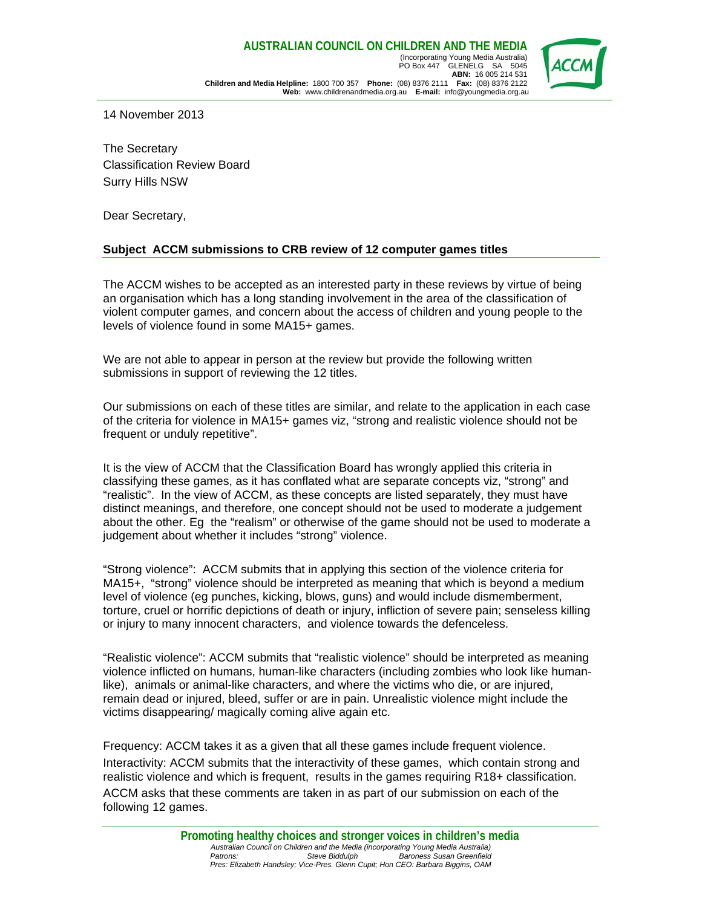

14 November 2013

The Secretary Classification Review Board Surry Hills NSW

Dear Secretary,

#### **Subject ACCM submissions to CRB review of 12 computer games titles**

The ACCM wishes to be accepted as an interested party in these reviews by virtue of being an organisation which has a long standing involvement in the area of the classification of violent computer games, and concern about the access of children and young people to the levels of violence found in some MA15+ games.

We are not able to appear in person at the review but provide the following written submissions in support of reviewing the 12 titles.

Our submissions on each of these titles are similar, and relate to the application in each case of the criteria for violence in MA15+ games viz, "strong and realistic violence should not be frequent or unduly repetitive".

It is the view of ACCM that the Classification Board has wrongly applied this criteria in classifying these games, as it has conflated what are separate concepts viz, "strong" and "realistic". In the view of ACCM, as these concepts are listed separately, they must have distinct meanings, and therefore, one concept should not be used to moderate a judgement about the other. Eg the "realism" or otherwise of the game should not be used to moderate a judgement about whether it includes "strong" violence.

"Strong violence": ACCM submits that in applying this section of the violence criteria for MA15+, "strong" violence should be interpreted as meaning that which is beyond a medium level of violence (eg punches, kicking, blows, guns) and would include dismemberment, torture, cruel or horrific depictions of death or injury, infliction of severe pain; senseless killing or injury to many innocent characters, and violence towards the defenceless.

"Realistic violence": ACCM submits that "realistic violence" should be interpreted as meaning violence inflicted on humans, human-like characters (including zombies who look like humanlike), animals or animal-like characters, and where the victims who die, or are injured, remain dead or injured, bleed, suffer or are in pain. Unrealistic violence might include the victims disappearing/ magically coming alive again etc.

Frequency: ACCM takes it as a given that all these games include frequent violence. Interactivity: ACCM submits that the interactivity of these games, which contain strong and realistic violence and which is frequent, results in the games requiring R18+ classification. ACCM asks that these comments are taken in as part of our submission on each of the following 12 games.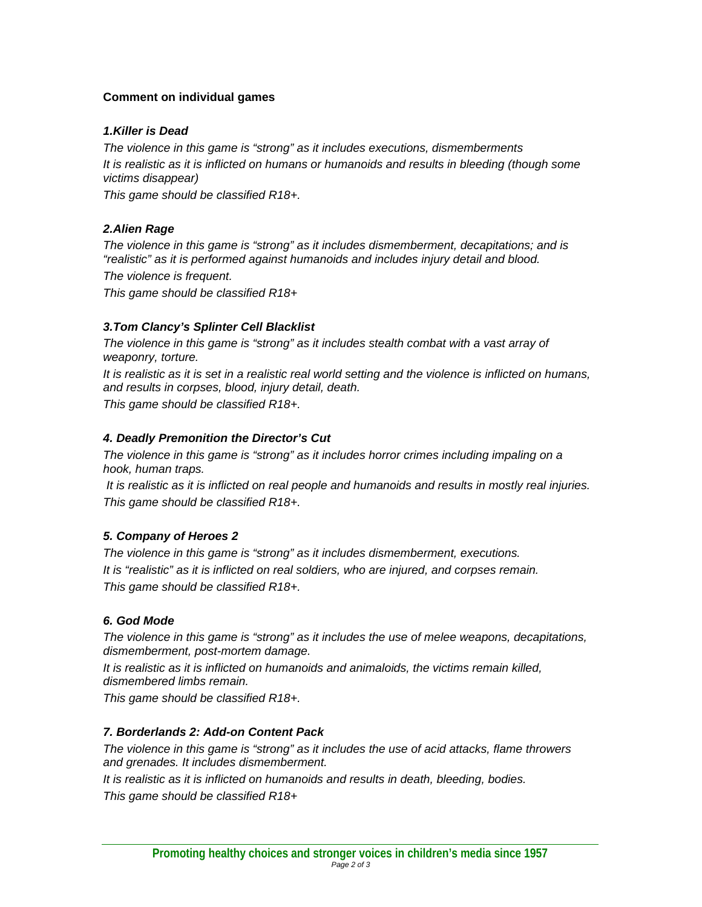## **Comment on individual games**

## *1.Killer is Dead*

*The violence in this game is "strong" as it includes executions, dismemberments It is realistic as it is inflicted on humans or humanoids and results in bleeding (though some victims disappear)* 

*This game should be classified R18+.* 

## *2.Alien Rage*

*The violence in this game is "strong" as it includes dismemberment, decapitations; and is "realistic" as it is performed against humanoids and includes injury detail and blood. The violence is frequent.* 

*This game should be classified R18+* 

## *3.Tom Clancy's Splinter Cell Blacklist*

*The violence in this game is "strong" as it includes stealth combat with a vast array of weaponry, torture.* 

*It is realistic as it is set in a realistic real world setting and the violence is inflicted on humans, and results in corpses, blood, injury detail, death.* 

*This game should be classified R18+.* 

# *4. Deadly Premonition the Director's Cut*

*The violence in this game is "strong" as it includes horror crimes including impaling on a hook, human traps.* 

 *It is realistic as it is inflicted on real people and humanoids and results in mostly real injuries. This game should be classified R18+.* 

# *5. Company of Heroes 2*

*The violence in this game is "strong" as it includes dismemberment, executions. It is "realistic" as it is inflicted on real soldiers, who are injured, and corpses remain. This game should be classified R18+.* 

## *6. God Mode*

*The violence in this game is "strong" as it includes the use of melee weapons, decapitations, dismemberment, post-mortem damage.* 

*It is realistic as it is inflicted on humanoids and animaloids, the victims remain killed, dismembered limbs remain.* 

*This game should be classified R18+.* 

## *7. Borderlands 2: Add-on Content Pack*

*The violence in this game is "strong" as it includes the use of acid attacks, flame throwers and grenades. It includes dismemberment.* 

*It is realistic as it is inflicted on humanoids and results in death, bleeding, bodies. This game should be classified R18+*